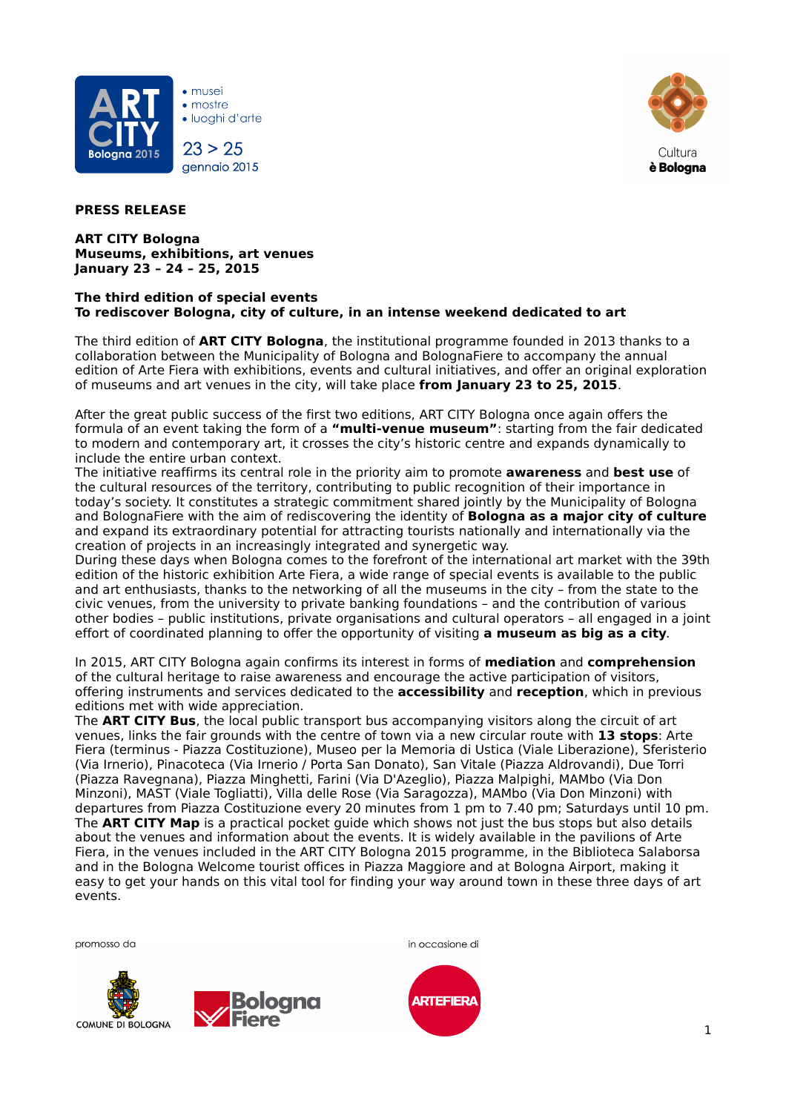

• mostre · Iuoghi d'arte

 $\bullet$  musei

 $23 > 25$ gennaio 2015



## **PRESS RELEASE**

**ART CITY Bologna Museums, exhibitions, art venues January 23 – 24 – 25, 2015**

## **The third edition of special events To rediscover Bologna, city of culture, in an intense weekend dedicated to art**

The third edition of **ART CITY Bologna**, the institutional programme founded in 2013 thanks to a collaboration between the Municipality of Bologna and BolognaFiere to accompany the annual edition of Arte Fiera with exhibitions, events and cultural initiatives, and offer an original exploration of museums and art venues in the city, will take place **from January 23 to 25, 2015**.

After the great public success of the first two editions, ART CITY Bologna once again offers the formula of an event taking the form of a **"multi-venue museum"**: starting from the fair dedicated to modern and contemporary art, it crosses the city's historic centre and expands dynamically to include the entire urban context.

The initiative reaffirms its central role in the priority aim to promote **awareness** and **best use** of the cultural resources of the territory, contributing to public recognition of their importance in today's society. It constitutes a strategic commitment shared jointly by the Municipality of Bologna and BolognaFiere with the aim of rediscovering the identity of **Bologna as a major city of culture** and expand its extraordinary potential for attracting tourists nationally and internationally via the creation of projects in an increasingly integrated and synergetic way.

During these days when Bologna comes to the forefront of the international art market with the 39th edition of the historic exhibition Arte Fiera, a wide range of special events is available to the public and art enthusiasts, thanks to the networking of all the museums in the city – from the state to the civic venues, from the university to private banking foundations – and the contribution of various other bodies – public institutions, private organisations and cultural operators – all engaged in a joint effort of coordinated planning to offer the opportunity of visiting **a museum as big as a city**.

In 2015, ART CITY Bologna again confirms its interest in forms of **mediation** and **comprehension** of the cultural heritage to raise awareness and encourage the active participation of visitors, offering instruments and services dedicated to the **accessibility** and **reception**, which in previous editions met with wide appreciation.

The **ART CITY Bus**, the local public transport bus accompanying visitors along the circuit of art venues, links the fair grounds with the centre of town via a new circular route with **13 stops**: Arte Fiera (terminus - Piazza Costituzione), Museo per la Memoria di Ustica (Viale Liberazione), Sferisterio (Via Irnerio), Pinacoteca (Via Irnerio / Porta San Donato), San Vitale (Piazza Aldrovandi), Due Torri (Piazza Ravegnana), Piazza Minghetti, Farini (Via D'Azeglio), Piazza Malpighi, MAMbo (Via Don Minzoni), MAST (Viale Togliatti), Villa delle Rose (Via Saragozza), MAMbo (Via Don Minzoni) with departures from Piazza Costituzione every 20 minutes from 1 pm to 7.40 pm; Saturdays until 10 pm. The **ART CITY Map** is a practical pocket guide which shows not just the bus stops but also details about the venues and information about the events. It is widely available in the pavilions of Arte Fiera, in the venues included in the ART CITY Bologna 2015 programme, in the Biblioteca Salaborsa and in the Bologna Welcome tourist offices in Piazza Maggiore and at Bologna Airport, making it easy to get your hands on this vital tool for finding your way around town in these three days of art events.





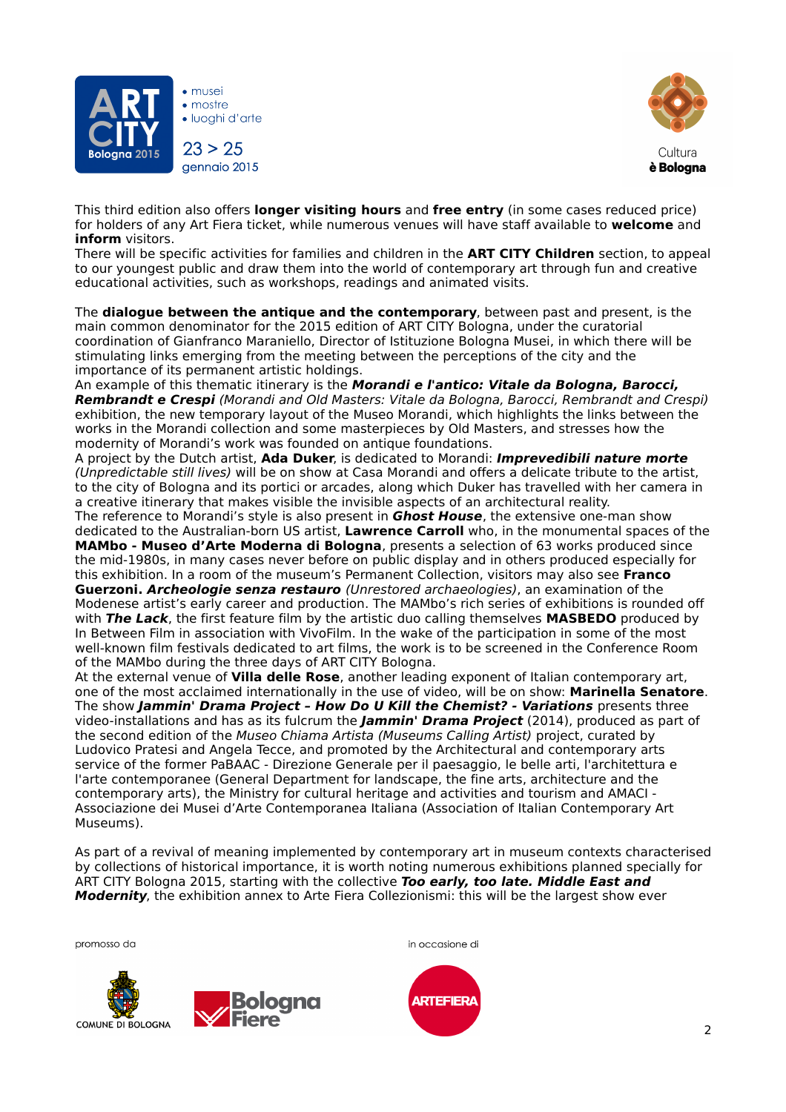

• mostre · Iuoghi d'arte 23 > 25

gennaio 2015



This third edition also offers **longer visiting hours** and **free entry** (in some cases reduced price) for holders of any Art Fiera ticket, while numerous venues will have staff available to **welcome** and **inform** visitors.

There will be specific activities for families and children in the **ART CITY Children** section, to appeal to our youngest public and draw them into the world of contemporary art through fun and creative educational activities, such as workshops, readings and animated visits.

The **dialogue between the antique and the contemporary**, between past and present, is the main common denominator for the 2015 edition of ART CITY Bologna, under the curatorial coordination of Gianfranco Maraniello, Director of Istituzione Bologna Musei, in which there will be stimulating links emerging from the meeting between the perceptions of the city and the importance of its permanent artistic holdings.

An example of this thematic itinerary is the **Morandi e l'antico: Vitale da Bologna, Barocci, Rembrandt e Crespi** (Morandi and Old Masters: Vitale da Bologna, Barocci, Rembrandt and Crespi) exhibition, the new temporary layout of the Museo Morandi, which highlights the links between the works in the Morandi collection and some masterpieces by Old Masters, and stresses how the modernity of Morandi's work was founded on antique foundations.

A project by the Dutch artist, **Ada Duker**, is dedicated to Morandi: **Imprevedibili nature morte**  (Unpredictable still lives) will be on show at Casa Morandi and offers a delicate tribute to the artist, to the city of Bologna and its portici or arcades, along which Duker has travelled with her camera in a creative itinerary that makes visible the invisible aspects of an architectural reality.

The reference to Morandi's style is also present in **Ghost House**, the extensive one-man show dedicated to the Australian-born US artist, **Lawrence Carroll** who, in the monumental spaces of the **MAMbo - Museo d'Arte Moderna di Bologna**, presents a selection of 63 works produced since the mid-1980s, in many cases never before on public display and in others produced especially for this exhibition. In a room of the museum's Permanent Collection, visitors may also see **Franco Guerzoni. Archeologie senza restauro** (Unrestored archaeologies), an examination of the Modenese artist's early career and production. The MAMbo's rich series of exhibitions is rounded off with **The Lack**, the first feature film by the artistic duo calling themselves **MASBEDO** produced by

In Between Film in association with VivoFilm. In the wake of the participation in some of the most well-known film festivals dedicated to art films, the work is to be screened in the Conference Room of the MAMbo during the three days of ART CITY Bologna.

At the external venue of **Villa delle Rose**, another leading exponent of Italian contemporary art, one of the most acclaimed internationally in the use of video, will be on show: **Marinella Senatore**. The show **Jammin' Drama Project – How Do U Kill the Chemist? - Variations** presents three video-installations and has as its fulcrum the **Jammin' Drama Project** (2014), produced as part of the second edition of the Museo Chiama Artista (Museums Calling Artist) project, curated by Ludovico Pratesi and Angela Tecce, and promoted by the Architectural and contemporary arts service of the former PaBAAC - Direzione Generale per il paesaggio, le belle arti, l'architettura e l'arte contemporanee (General Department for landscape, the fine arts, architecture and the contemporary arts), the Ministry for cultural heritage and activities and tourism and AMACI - Associazione dei Musei d'Arte Contemporanea Italiana (Association of Italian Contemporary Art Museums).

As part of a revival of meaning implemented by contemporary art in museum contexts characterised by collections of historical importance, it is worth noting numerous exhibitions planned specially for ART CITY Bologna 2015, starting with the collective **Too early, too late. Middle East and Modernity**, the exhibition annex to Arte Fiera Collezionismi: this will be the largest show ever







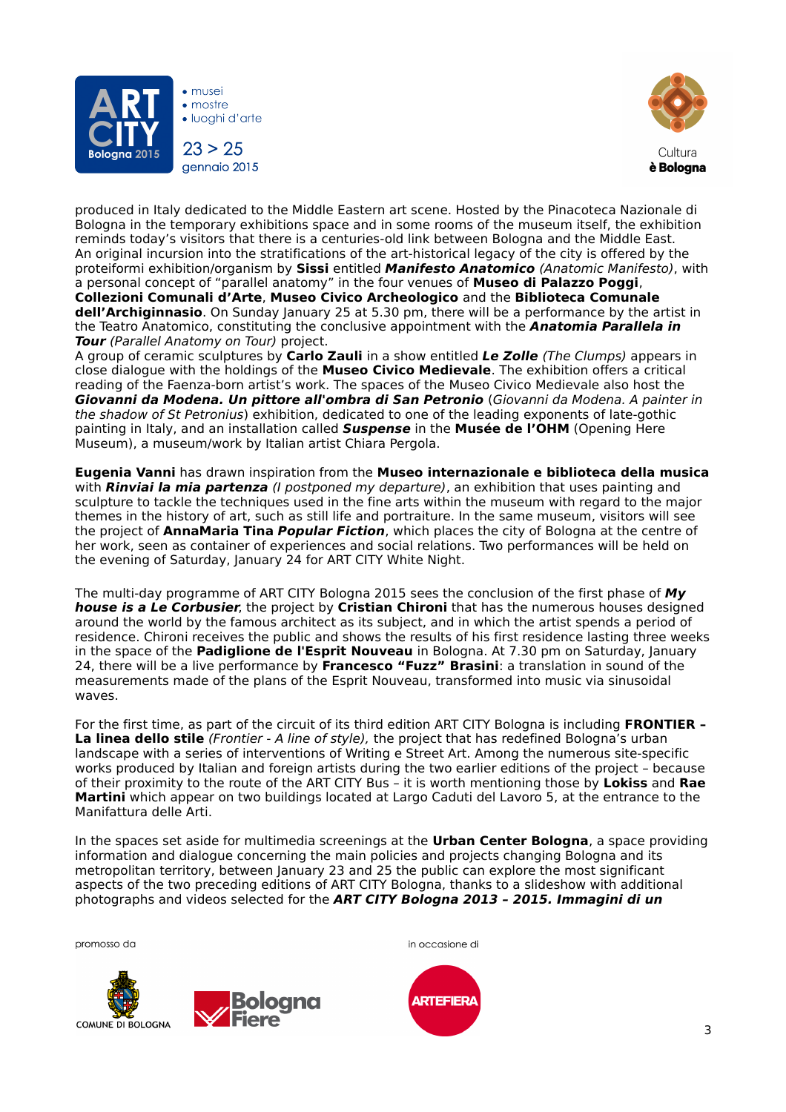

• mostre · Iuoghi d'arte  $23 > 25$ gennaio 2015



produced in Italy dedicated to the Middle Eastern art scene. Hosted by the Pinacoteca Nazionale di Bologna in the temporary exhibitions space and in some rooms of the museum itself, the exhibition reminds today's visitors that there is a centuries-old link between Bologna and the Middle East. An original incursion into the stratifications of the art-historical legacy of the city is offered by the proteiformi exhibition/organism by **Sissi** entitled **Manifesto Anatomico** (Anatomic Manifesto), with a personal concept of "parallel anatomy" in the four venues of **Museo di Palazzo Poggi**, **Collezioni Comunali d'Arte**, **Museo Civico Archeologico** and the **Biblioteca Comunale dell'Archiginnasio**. On Sunday January 25 at 5.30 pm, there will be a performance by the artist in the Teatro Anatomico, constituting the conclusive appointment with the **Anatomia Parallela in Tour** (Parallel Anatomy on Tour) project.

A group of ceramic sculptures by **Carlo Zauli** in a show entitled **Le Zolle** (The Clumps) appears in close dialogue with the holdings of the **Museo Civico Medievale**. The exhibition offers a critical reading of the Faenza-born artist's work. The spaces of the Museo Civico Medievale also host the **Giovanni da Modena. Un pittore all'ombra di San Petronio** (Giovanni da Modena. A painter in the shadow of St Petronius) exhibition, dedicated to one of the leading exponents of late-gothic painting in Italy, and an installation called **Suspense** in the **Musée de l'OHM** (Opening Here Museum), a museum/work by Italian artist Chiara Pergola.

**Eugenia Vanni** has drawn inspiration from the **Museo internazionale e biblioteca della musica** with **Rinviai la mia partenza** (*I postponed my departure*), an exhibition that uses painting and sculpture to tackle the techniques used in the fine arts within the museum with regard to the major themes in the history of art, such as still life and portraiture. In the same museum, visitors will see the project of **AnnaMaria Tina Popular Fiction**, which places the city of Bologna at the centre of her work, seen as container of experiences and social relations. Two performances will be held on the evening of Saturday, January 24 for ART CITY White Night.

The multi-day programme of ART CITY Bologna 2015 sees the conclusion of the first phase of **My house is a Le Corbusier**, the project by **Cristian Chironi** that has the numerous houses designed around the world by the famous architect as its subject, and in which the artist spends a period of residence. Chironi receives the public and shows the results of his first residence lasting three weeks in the space of the **Padiglione de l'Esprit Nouveau** in Bologna. At 7.30 pm on Saturday, January 24, there will be a live performance by **Francesco "Fuzz" Brasini**: a translation in sound of the measurements made of the plans of the Esprit Nouveau, transformed into music via sinusoidal waves.

For the first time, as part of the circuit of its third edition ART CITY Bologna is including **FRONTIER – La linea dello stile** (Frontier - A line of style), the project that has redefined Bologna's urban landscape with a series of interventions of Writing e Street Art. Among the numerous site-specific works produced by Italian and foreign artists during the two earlier editions of the project – because of their proximity to the route of the ART CITY Bus – it is worth mentioning those by **Lokiss** and **Rae Martini** which appear on two buildings located at Largo Caduti del Lavoro 5, at the entrance to the Manifattura delle Arti.

In the spaces set aside for multimedia screenings at the **Urban Center Bologna**, a space providing information and dialogue concerning the main policies and projects changing Bologna and its metropolitan territory, between January 23 and 25 the public can explore the most significant aspects of the two preceding editions of ART CITY Bologna, thanks to a slideshow with additional photographs and videos selected for the **ART CITY Bologna 2013 – 2015. Immagini di un** 







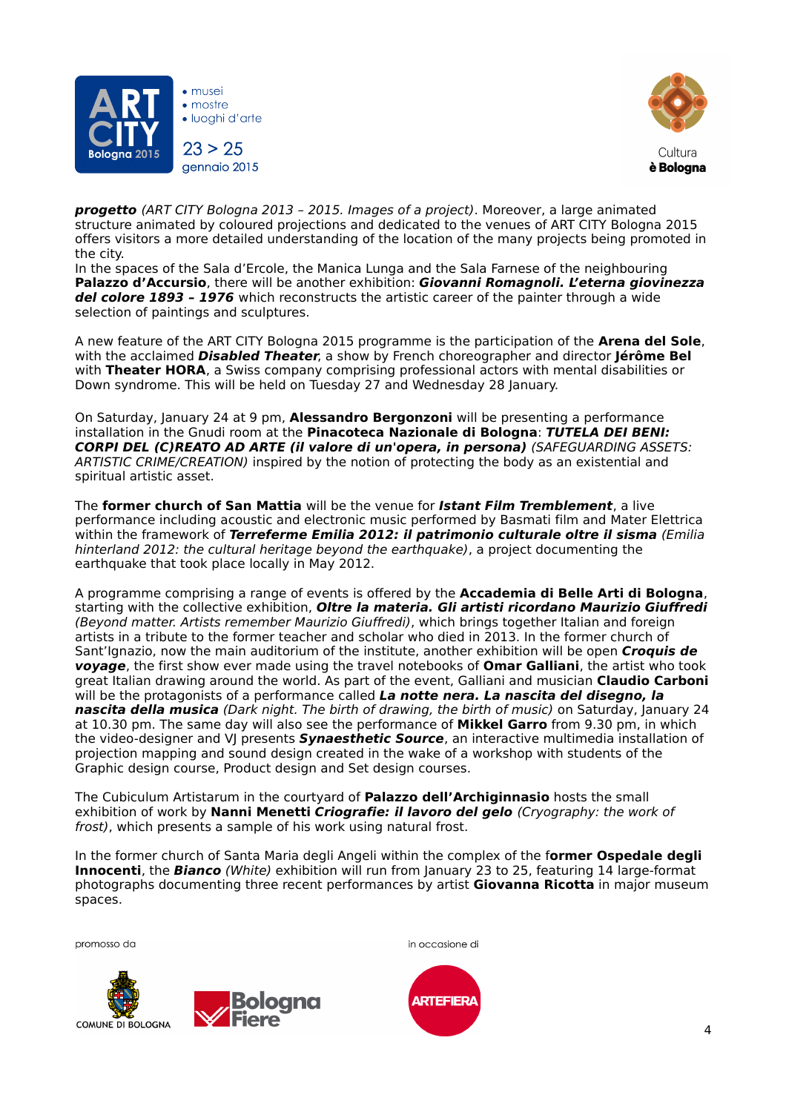

• mostre · Iuoghi d'arte  $23 > 25$ gennaio 2015



**progetto** (ART CITY Bologna 2013 – 2015. Images of a project). Moreover, a large animated structure animated by coloured projections and dedicated to the venues of ART CITY Bologna 2015 offers visitors a more detailed understanding of the location of the many projects being promoted in the city.

In the spaces of the Sala d'Ercole, the Manica Lunga and the Sala Farnese of the neighbouring **Palazzo d'Accursio**, there will be another exhibition: **Giovanni Romagnoli. L'eterna giovinezza del colore 1893 – 1976** which reconstructs the artistic career of the painter through a wide selection of paintings and sculptures.

A new feature of the ART CITY Bologna 2015 programme is the participation of the **Arena del Sole**, with the acclaimed **Disabled Theater**, a show by French choreographer and director **Jérôme Bel** with **Theater HORA**, a Swiss company comprising professional actors with mental disabilities or Down syndrome. This will be held on Tuesday 27 and Wednesday 28 January.

On Saturday, January 24 at 9 pm, **Alessandro Bergonzoni** will be presenting a performance installation in the Gnudi room at the **Pinacoteca Nazionale di Bologna**: **TUTELA DEI BENI: CORPI DEL (C)REATO AD ARTE (il valore di un'opera, in persona)** (SAFEGUARDING ASSETS: ARTISTIC CRIME/CREATION) inspired by the notion of protecting the body as an existential and spiritual artistic asset.

The **former church of San Mattia** will be the venue for **Istant Film Tremblement**, a live performance including acoustic and electronic music performed by Basmati film and Mater Elettrica within the framework of **Terreferme Emilia 2012: il patrimonio culturale oltre il sisma** (Emilia hinterland 2012: the cultural heritage beyond the earthquake), a project documenting the earthquake that took place locally in May 2012.

A programme comprising a range of events is offered by the **Accademia di Belle Arti di Bologna**, starting with the collective exhibition, **Oltre la materia. Gli artisti ricordano Maurizio Giuffredi** (Beyond matter. Artists remember Maurizio Giuffredi), which brings together Italian and foreign artists in a tribute to the former teacher and scholar who died in 2013. In the former church of Sant'Ignazio, now the main auditorium of the institute, another exhibition will be open **Croquis de voyage**, the first show ever made using the travel notebooks of **Omar Galliani**, the artist who took great Italian drawing around the world. As part of the event, Galliani and musician **Claudio Carboni** will be the protagonists of a performance called **La notte nera. La nascita del disegno, la nascita della musica** (Dark night. The birth of drawing, the birth of music) on Saturday, January 24 at 10.30 pm. The same day will also see the performance of **Mikkel Garro** from 9.30 pm, in which the video-designer and VJ presents **Synaesthetic Source**, an interactive multimedia installation of projection mapping and sound design created in the wake of a workshop with students of the Graphic design course, Product design and Set design courses.

The Cubiculum Artistarum in the courtyard of **Palazzo dell'Archiginnasio** hosts the small exhibition of work by **Nanni Menetti Criografie: il lavoro del gelo** (Cryography: the work of frost), which presents a sample of his work using natural frost.

In the former church of Santa Maria degli Angeli within the complex of the f**ormer Ospedale degli Innocenti**, the **Bianco** (White) exhibition will run from January 23 to 25, featuring 14 large-format photographs documenting three recent performances by artist **Giovanna Ricotta** in major museum spaces.





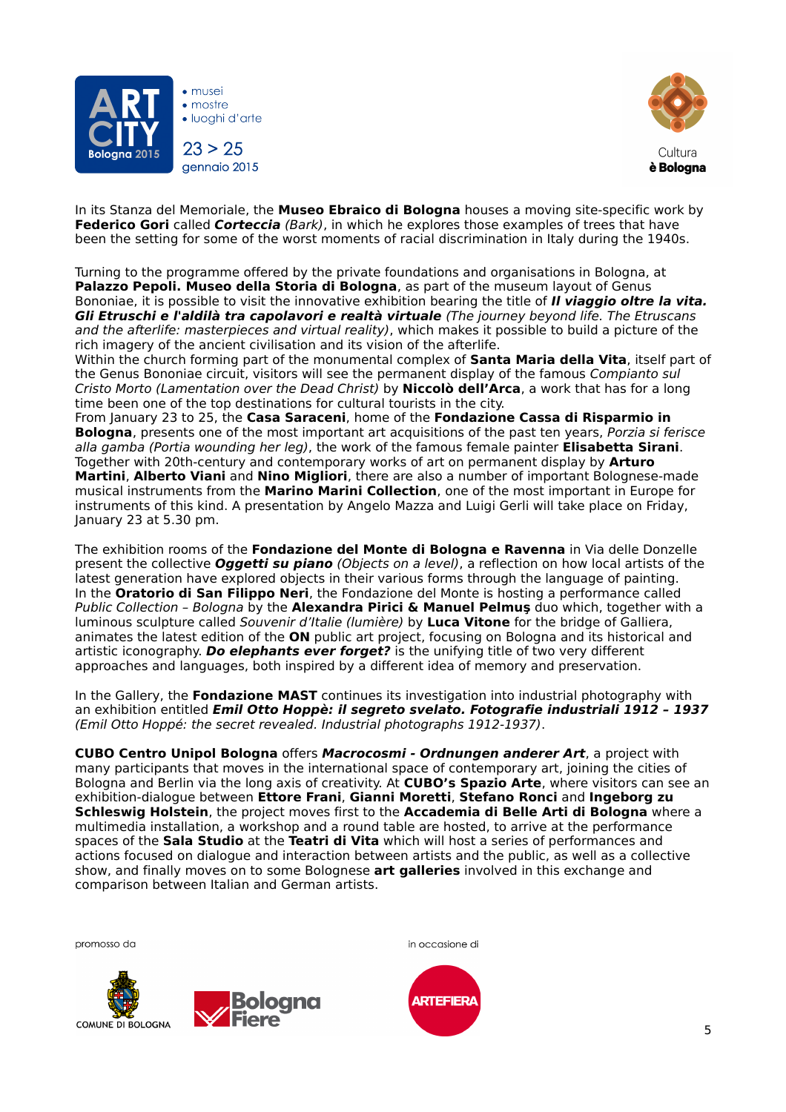

 $\bullet$  mostre · Iuoahi d'arte  $23 > 25$ gennaio 2015



In its Stanza del Memoriale, the **Museo Ebraico di Bologna** houses a moving site-specific work by **Federico Gori** called **Corteccia** (Bark), in which he explores those examples of trees that have been the setting for some of the worst moments of racial discrimination in Italy during the 1940s.

Turning to the programme offered by the private foundations and organisations in Bologna, at **Palazzo Pepoli. Museo della Storia di Bologna**, as part of the museum layout of Genus Bononiae, it is possible to visit the innovative exhibition bearing the title of **Il viaggio oltre la vita. Gli Etruschi e l'aldilà tra capolavori e realtà virtuale** (The journey beyond life. The Etruscans and the afterlife: masterpieces and virtual reality), which makes it possible to build a picture of the rich imagery of the ancient civilisation and its vision of the afterlife.

Within the church forming part of the monumental complex of **Santa Maria della Vita**, itself part of the Genus Bononiae circuit, visitors will see the permanent display of the famous Compianto sul Cristo Morto (Lamentation over the Dead Christ) by **Niccolò dell'Arca**, a work that has for a long time been one of the top destinations for cultural tourists in the city.

From January 23 to 25, the **Casa Saraceni**, home of the **Fondazione Cassa di Risparmio in Bologna**, presents one of the most important art acquisitions of the past ten years, Porzia si ferisce alla gamba (Portia wounding her leg), the work of the famous female painter **Elisabetta Sirani**. Together with 20th-century and contemporary works of art on permanent display by **Arturo Martini**, **Alberto Viani** and **Nino Migliori**, there are also a number of important Bolognese-made musical instruments from the **Marino Marini Collection**, one of the most important in Europe for instruments of this kind. A presentation by Angelo Mazza and Luigi Gerli will take place on Friday, January 23 at 5.30 pm.

The exhibition rooms of the **Fondazione del Monte di Bologna e Ravenna** in Via delle Donzelle present the collective **Oggetti su piano** (Objects on a level), a reflection on how local artists of the latest generation have explored objects in their various forms through the language of painting. In the **Oratorio di San Filippo Neri**, the Fondazione del Monte is hosting a performance called Public Collection – Bologna by the **Alexandra Pirici & Manuel Pelmuş** duo which, together with a luminous sculpture called Souvenir d'Italie (lumière) by **Luca Vitone** for the bridge of Galliera, animates the latest edition of the **ON** public art project, focusing on Bologna and its historical and artistic iconography. **Do elephants ever forget?** is the unifying title of two very different approaches and languages, both inspired by a different idea of memory and preservation.

In the Gallery, the **Fondazione MAST** continues its investigation into industrial photography with an exhibition entitled **Emil Otto Hoppè: il segreto svelato. Fotografie industriali 1912 – 1937** (Emil Otto Hoppé: the secret revealed. Industrial photographs 1912-1937).

**CUBO Centro Unipol Bologna** offers **Macrocosmi - Ordnungen anderer Art**, a project with many participants that moves in the international space of contemporary art, joining the cities of Bologna and Berlin via the long axis of creativity. At **CUBO's Spazio Arte**, where visitors can see an exhibition-dialogue between **Ettore Frani**, **Gianni Moretti**, **Stefano Ronci** and **Ingeborg zu Schleswig Holstein**, the project moves first to the **Accademia di Belle Arti di Bologna** where a multimedia installation, a workshop and a round table are hosted, to arrive at the performance spaces of the **Sala Studio** at the **Teatri di Vita** which will host a series of performances and actions focused on dialogue and interaction between artists and the public, as well as a collective show, and finally moves on to some Bolognese **art galleries** involved in this exchange and comparison between Italian and German artists.





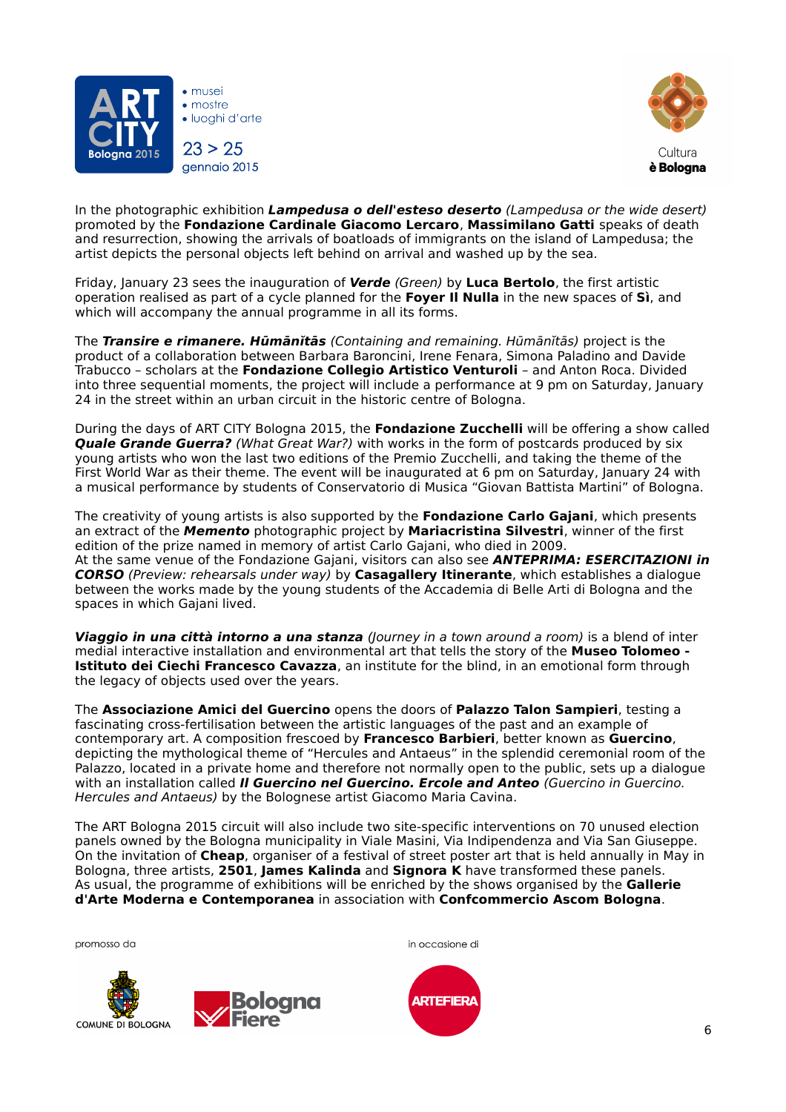

 $\bullet$  mostre · Iuoahi d'arte  $23 > 25$ gennaio 2015



In the photographic exhibition **Lampedusa o dell'esteso deserto** (Lampedusa or the wide desert) promoted by the **Fondazione Cardinale Giacomo Lercaro**, **Massimilano Gatti** speaks of death and resurrection, showing the arrivals of boatloads of immigrants on the island of Lampedusa; the artist depicts the personal objects left behind on arrival and washed up by the sea.

Friday, January 23 sees the inauguration of **Verde** (Green) by **Luca Bertolo**, the first artistic operation realised as part of a cycle planned for the **Foyer Il Nulla** in the new spaces of **Sì**, and which will accompany the annual programme in all its forms.

The **Transire e rimanere. Hūmānĭtās** (Containing and remaining. Hūmānĭtās) project is the product of a collaboration between Barbara Baroncini, Irene Fenara, Simona Paladino and Davide Trabucco – scholars at the **Fondazione Collegio Artistico Venturoli** – and Anton Roca. Divided into three sequential moments, the project will include a performance at 9 pm on Saturday, January 24 in the street within an urban circuit in the historic centre of Bologna.

During the days of ART CITY Bologna 2015, the **Fondazione Zucchelli** will be offering a show called **Quale Grande Guerra?** (What Great War?) with works in the form of postcards produced by six young artists who won the last two editions of the Premio Zucchelli, and taking the theme of the First World War as their theme. The event will be inaugurated at 6 pm on Saturday, January 24 with a musical performance by students of Conservatorio di Musica "Giovan Battista Martini" of Bologna.

The creativity of young artists is also supported by the **Fondazione Carlo Gajani**, which presents an extract of the **Memento** photographic project by **Mariacristina Silvestri**, winner of the first edition of the prize named in memory of artist Carlo Gajani, who died in 2009. At the same venue of the Fondazione Gajani, visitors can also see **ANTEPRIMA: ESERCITAZIONI in CORSO** (Preview: rehearsals under way) by **Casagallery Itinerante**, which establishes a dialogue between the works made by the young students of the Accademia di Belle Arti di Bologna and the spaces in which Gajani lived.

**Viaggio in una città intorno a una stanza** (Journey in a town around a room) is a blend of inter medial interactive installation and environmental art that tells the story of the **Museo Tolomeo - Istituto dei Ciechi Francesco Cavazza**, an institute for the blind, in an emotional form through the legacy of objects used over the years.

The **Associazione Amici del Guercino** opens the doors of **Palazzo Talon Sampieri**, testing a fascinating cross-fertilisation between the artistic languages of the past and an example of contemporary art. A composition frescoed by **Francesco Barbieri**, better known as **Guercino**, depicting the mythological theme of "Hercules and Antaeus" in the splendid ceremonial room of the Palazzo, located in a private home and therefore not normally open to the public, sets up a dialogue with an installation called **Il Guercino nel Guercino. Ercole and Anteo** (Guercino in Guercino. Hercules and Antaeus) by the Bolognese artist Giacomo Maria Cavina.

The ART Bologna 2015 circuit will also include two site-specific interventions on 70 unused election panels owned by the Bologna municipality in Viale Masini, Via Indipendenza and Via San Giuseppe. On the invitation of **Cheap**, organiser of a festival of street poster art that is held annually in May in Bologna, three artists, **2501**, **James Kalinda** and **Signora K** have transformed these panels. As usual, the programme of exhibitions will be enriched by the shows organised by the **Gallerie d'Arte Moderna e Contemporanea** in association with **Confcommercio Ascom Bologna**.





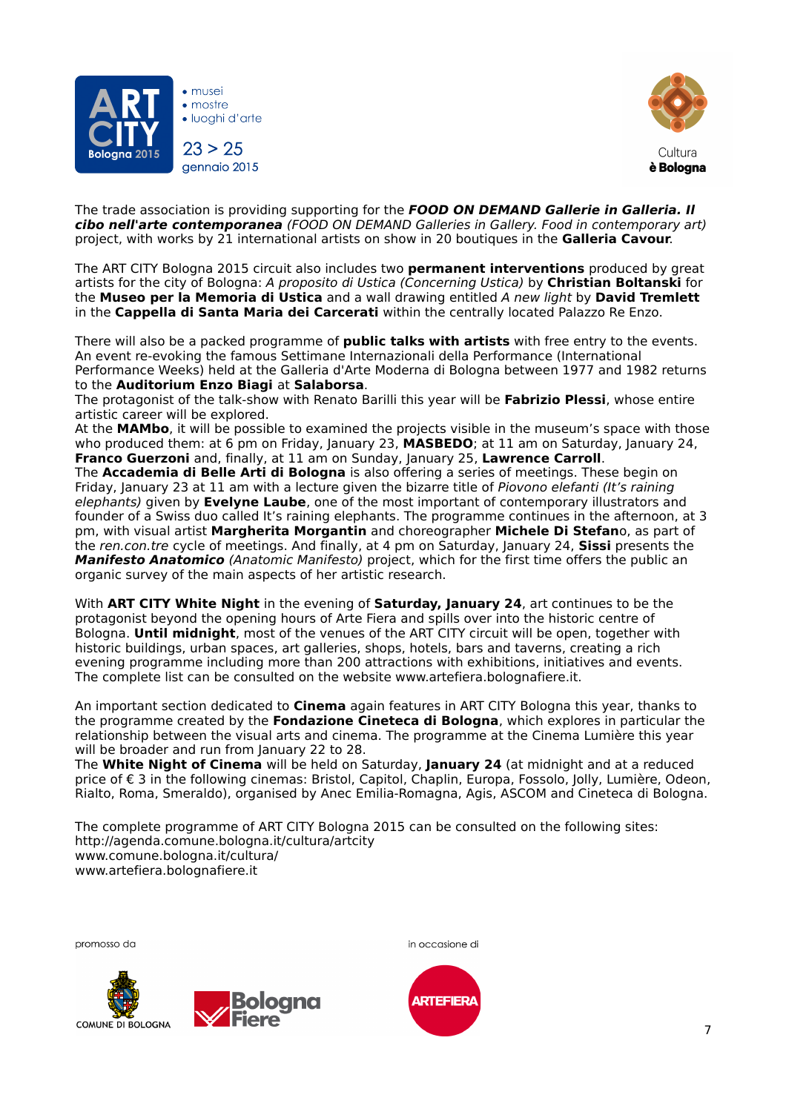

 $\bullet$  mostre · Iuoahi d'arte  $23 > 25$ gennaio 2015



The trade association is providing supporting for the **FOOD ON DEMAND Gallerie in Galleria. Il cibo nell'arte contemporanea** (FOOD ON DEMAND Galleries in Gallery. Food in contemporary art) project, with works by 21 international artists on show in 20 boutiques in the **Galleria Cavour**.

The ART CITY Bologna 2015 circuit also includes two **permanent interventions** produced by great artists for the city of Bologna: A proposito di Ustica (Concerning Ustica) by **Christian Boltanski** for the **Museo per la Memoria di Ustica** and a wall drawing entitled A new light by **David Tremlett** in the **Cappella di Santa Maria dei Carcerati** within the centrally located Palazzo Re Enzo.

There will also be a packed programme of **public talks with artists** with free entry to the events. An event re-evoking the famous Settimane Internazionali della Performance (International Performance Weeks) held at the Galleria d'Arte Moderna di Bologna between 1977 and 1982 returns to the **Auditorium Enzo Biagi** at **Salaborsa**.

The protagonist of the talk-show with Renato Barilli this year will be **Fabrizio Plessi**, whose entire artistic career will be explored.

At the **MAMbo**, it will be possible to examined the projects visible in the museum's space with those who produced them: at 6 pm on Friday, January 23, **MASBEDO**; at 11 am on Saturday, January 24, **Franco Guerzoni** and, finally, at 11 am on Sunday, January 25, **Lawrence Carroll**.

The **Accademia di Belle Arti di Bologna** is also offering a series of meetings. These begin on Friday, January 23 at 11 am with a lecture given the bizarre title of Piovono elefanti (It's raining elephants) given by **Evelyne Laube**, one of the most important of contemporary illustrators and founder of a Swiss duo called It's raining elephants. The programme continues in the afternoon, at 3 pm, with visual artist **Margherita Morgantin** and choreographer **Michele Di Stefan**o, as part of the ren.con.tre cycle of meetings. And finally, at 4 pm on Saturday, January 24, **Sissi** presents the **Manifesto Anatomico** (Anatomic Manifesto) project, which for the first time offers the public an organic survey of the main aspects of her artistic research.

With **ART CITY White Night** in the evening of **Saturday, January 24**, art continues to be the protagonist beyond the opening hours of Arte Fiera and spills over into the historic centre of Bologna. **Until midnight**, most of the venues of the ART CITY circuit will be open, together with historic buildings, urban spaces, art galleries, shops, hotels, bars and taverns, creating a rich evening programme including more than 200 attractions with exhibitions, initiatives and events. The complete list can be consulted on the website www.artefiera.bolognafiere.it.

An important section dedicated to **Cinema** again features in ART CITY Bologna this year, thanks to the programme created by the **Fondazione Cineteca di Bologna**, which explores in particular the relationship between the visual arts and cinema. The programme at the Cinema Lumière this year will be broader and run from January 22 to 28.

The **White Night of Cinema** will be held on Saturday, **January 24** (at midnight and at a reduced price of € 3 in the following cinemas: Bristol, Capitol, Chaplin, Europa, Fossolo, Jolly, Lumière, Odeon, Rialto, Roma, Smeraldo), organised by Anec Emilia-Romagna, Agis, ASCOM and Cineteca di Bologna.

The complete programme of ART CITY Bologna 2015 can be consulted on the following sites: http://agenda.comune.bologna.it/cultura/artcity www.comune.bologna.it/cultura/ www.artefiera.bolognafiere.it